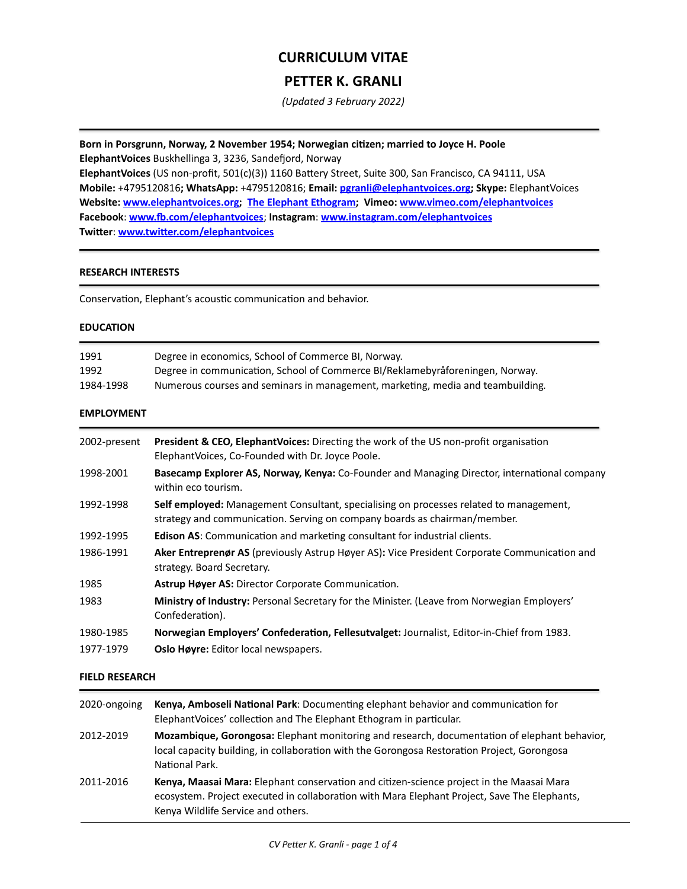# **CURRICULUM VITAE**

## **PETTER K. GRANLI**

*(Updated 3 February 2022)*

Born in Porsgrunn, Norway, 2 November 1954; Norwegian citizen; married to Joyce H. Poole **ElephantVoices** Buskhellinga 3, 3236, Sandefjord, Norway **ElephantVoices** (US non-profit,  $501(c)(3)$ ) 1160 Battery Street, Suite 300, San Francisco, CA 94111, USA **Mobile:** +4795120816**; WhatsApp:** +4795120816; **Email: [pgranli@elephantvoices.org;](mailto:pgranli@elephantvoices.org) Skype:** ElephantVoices **Website:** [www.elephantvoices.org](https://www.elephantvoices.org); The Elephant Ethogram; Vimeo: www.vimeo.com/elephantvoices **Facebook**: **[www.fb.com/elephantvoices](https://www.fb.com/ElephantVoices)**; **Instagram**: **[www.instagram.com/elephantvoices](http://www.instagram.com/elephantvoices) Twitter**: **[www.twitter.com/elephantvoices](https://www.twitter.com/elephantvoices)**

### **RESEARCH INTERESTS**

Conservation, Elephant's acoustic communication and behavior.

#### **EDUCATION**

| 1991      | Degree in economics, School of Commerce BI, Norway.                             |
|-----------|---------------------------------------------------------------------------------|
| 1992      | Degree in communication, School of Commerce BI/Reklamebyratoreningen, Norway.   |
| 1984-1998 | Numerous courses and seminars in management, marketing, media and teambuilding. |

## **EMPLOYMENT**

| 2002-present | <b>President &amp; CEO, ElephantVoices:</b> Directing the work of the US non-profit organisation<br>ElephantVoices, Co-Founded with Dr. Joyce Poole.                |
|--------------|---------------------------------------------------------------------------------------------------------------------------------------------------------------------|
| 1998-2001    | Basecamp Explorer AS, Norway, Kenya: Co-Founder and Managing Director, international company<br>within eco tourism.                                                 |
| 1992-1998    | Self employed: Management Consultant, specialising on processes related to management,<br>strategy and communication. Serving on company boards as chairman/member. |
| 1992-1995    | <b>Edison AS:</b> Communication and marketing consultant for industrial clients.                                                                                    |
| 1986-1991    | Aker Entreprenør AS (previously Astrup Høyer AS): Vice President Corporate Communication and<br>strategy. Board Secretary.                                          |
| 1985         | Astrup Høyer AS: Director Corporate Communication.                                                                                                                  |
| 1983         | Ministry of Industry: Personal Secretary for the Minister. (Leave from Norwegian Employers'<br>Confederation).                                                      |
| 1980-1985    | Norwegian Employers' Confederation, Fellesutvalget: Journalist, Editor-in-Chief from 1983.                                                                          |
| 1977-1979    | Oslo Høyre: Editor local newspapers.                                                                                                                                |

## **FIELD RESEARCH**

| 2020-ongoing | Kenya, Amboseli National Park: Documenting elephant behavior and communication for<br>Elephant Voices' collection and The Elephant Ethogram in particular.                                                                            |
|--------------|---------------------------------------------------------------------------------------------------------------------------------------------------------------------------------------------------------------------------------------|
| 2012-2019    | <b>Mozambique, Gorongosa:</b> Elephant monitoring and research, documentation of elephant behavior,<br>local capacity building, in collaboration with the Gorongosa Restoration Project, Gorongosa<br>National Park.                  |
| 2011-2016    | <b>Kenya, Maasai Mara:</b> Elephant conservation and citizen-science project in the Maasai Mara<br>ecosystem. Project executed in collaboration with Mara Elephant Project, Save The Elephants,<br>Kenya Wildlife Service and others. |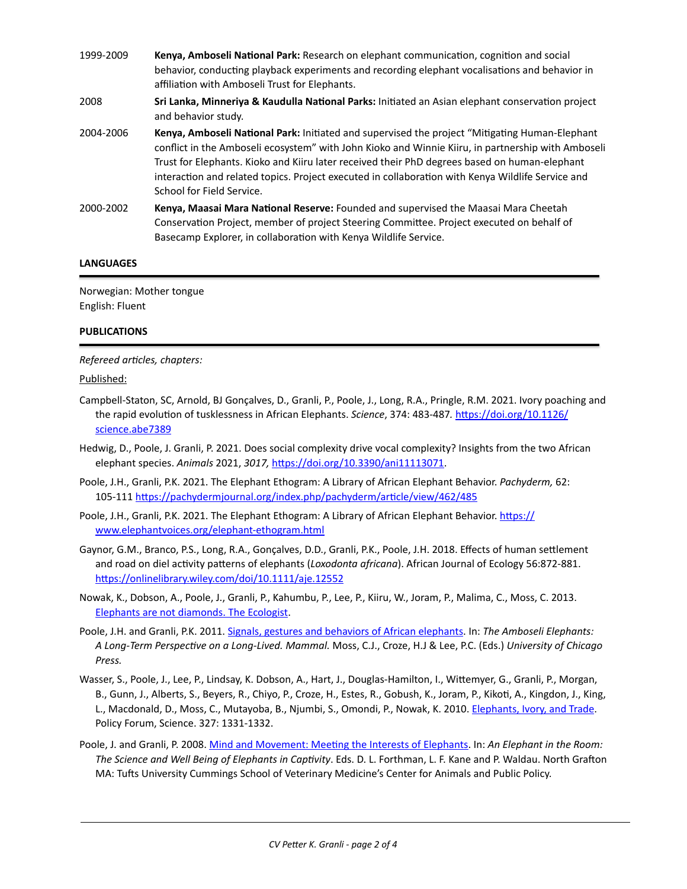- 1999-2009 **Kenya, Amboseli National Park:** Research on elephant communication, cognition and social behavior, conducting playback experiments and recording elephant vocalisations and behavior in affiliation with Amboseli Trust for Elephants. 2008 **Sri Lanka, Minneriya & Kaudulla National Parks:** Initiated an Asian elephant conservation project and behavior study. 2004-2006 **Kenya, Amboseli National Park:** Initiated and supervised the project "Mitigating Human-Elephant conflict in the Amboseli ecosystem" with John Kioko and Winnie Kiiru, in partnership with Amboseli Trust for Elephants. Kioko and Kiiru later received their PhD degrees based on human-elephant interaction and related topics. Project executed in collaboration with Kenya Wildlife Service and School for Field Service.
- 2000-2002 **Kenya, Maasai Mara National Reserve:** Founded and supervised the Maasai Mara Cheetah Conservation Project, member of project Steering Committee. Project executed on behalf of Basecamp Explorer, in collaboration with Kenya Wildlife Service.

## **LANGUAGES**

Norwegian: Mother tongue English: Fluent

#### **PUBLICATIONS**

#### *Refereed articles, chapters:*

#### Published:

- Campbell-Staton, SC, Arnold, BJ Gonçalves, D., Granli, P., Poole, J., Long, R.A., Pringle, R.M. 2021. Ivory poaching and the rapid evolution of tusklessness in African Elephants. *Science*, 374: 483-487. [https://doi.org/10.1126/](https://doi.org/10.1126/science.abe7389) [science.abe7389](https://doi.org/10.1126/science.abe7389)
- Hedwig, D., Poole, J. Granli, P. 2021. Does social complexity drive vocal complexity? Insights from the two African elephant species. *Animals* 2021, *3017,* [https://doi.org/10.3390/ani11113071.](https://doi.org/10.3390/ani11113071)
- Poole, J.H., Granli, P.K. 2021. The Elephant Ethogram: A Library of African Elephant Behavior. *Pachyderm,* 62: 105-111 <https://pachydermjournal.org/index.php/pachyderm/article/view/462/485>
- Poole, J.H., Granli, P.K. 2021. The Elephant Ethogram: A Library of African Elephant Behavior. [https://](https://www.elephantvoices.org/elephant-ethogram.html) [www.elephantvoices.org/elephant-ethogram.html](https://www.elephantvoices.org/elephant-ethogram.html)
- Gaynor, G.M., Branco, P.S., Long, R.A., Gonçalves, D.D., Granli, P.K., Poole, J.H. 2018. Effects of human settlement and road on diel activity patterns of elephants (*Loxodonta africana*). African Journal of Ecology 56:872-881. <https://onlinelibrary.wiley.com/doi/10.1111/aje.12552>
- Nowak, K., Dobson, A., Poole, J., Granli, P., Kahumbu, P., Lee, P., Kiiru, W., Joram, P., Malima, C., Moss, C. 2013. Elephants are not diamonds. The Ecologist.
- Poole, J.H. and Granli, P.K. 2011. Signals, gestures and behaviors of African elephants. In: The Amboseli Elephants: *A Long-Term Perspective on a Long-Lived. Mammal.* Moss, C.J., Croze, H.J & Lee, P.C. (Eds.) *University of Chicago Press.*
- Wasser, S., Poole, J., Lee, P., Lindsay, K. Dobson, A., Hart, J., Douglas-Hamilton, I., Wittemyer, G., Granli, P., Morgan, B., Gunn, J., Alberts, S., Beyers, R., Chiyo, P., Croze, H., Estes, R., Gobush, K., Joram, P., Kikoti, A., Kingdon, J., King, L., Macdonald, D., Moss, C., Mutayoba, B., Njumbi, S., Omondi, P., Nowak, K. 2010. Elephants, Ivory, and Trade. Policy Forum, Science. 327: 1331-1332.
- Poole, J. and Granli, P. 2008. Mind and Movement: Meeting the Interests of Elephants. In: An Elephant in the Room: The Science and Well Being of Elephants in Captivity. Eds. D. L. Forthman, L. F. Kane and P. Waldau. North Grafton MA: Tufts University Cummings School of Veterinary Medicine's Center for Animals and Public Policy.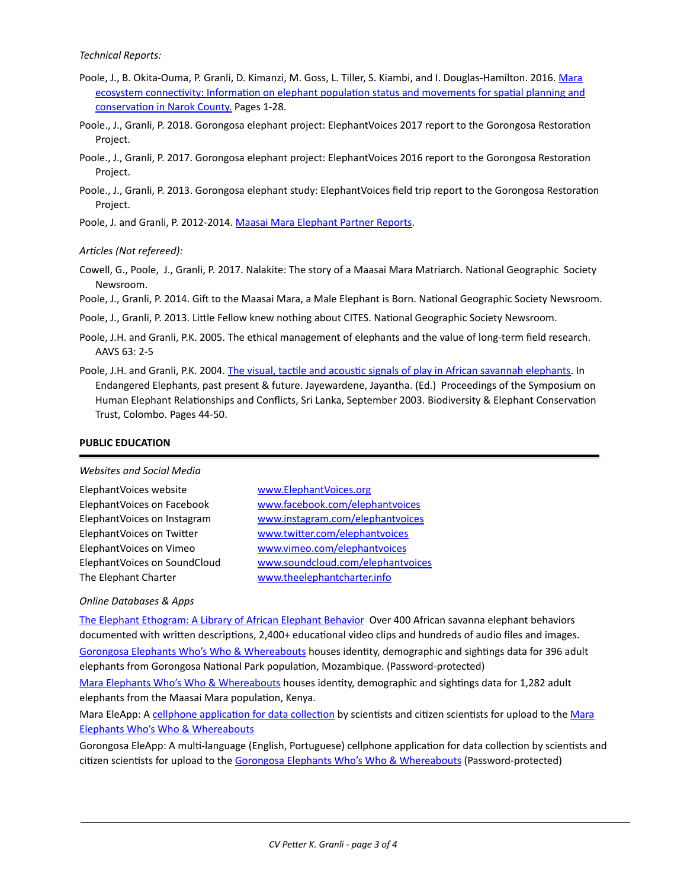*Technical Reports:*

- Poole, J., B. Okita-Ouma, P. Granli, D. Kimanzi, M. Goss, L. Tiller, S. Kiambi, and I. Douglas-Hamilton. 2016. Mara ecosystem connectivity: Information on elephant population status and movements for spatial planning and conservation in Narok County. Pages 1-28.
- Poole., J., Granli, P. 2018. Gorongosa elephant project: ElephantVoices 2017 report to the Gorongosa Restoration Project.
- Poole., J., Granli, P. 2017. Gorongosa elephant project: ElephantVoices 2016 report to the Gorongosa Restoration Project.
- Poole., J., Granli, P. 2013. Gorongosa elephant study: ElephantVoices field trip report to the Gorongosa Restoration Project.

Poole, J. and Granli, P. 2012-2014. Maasai Mara Elephant Partner Reports.

#### Articles (Not refereed):

- Cowell, G., Poole, J., Granli, P. 2017. Nalakite: The story of a Maasai Mara Matriarch. National Geographic Society Newsroom.
- Poole, J., Granli, P. 2014. Gift to the Maasai Mara, a Male Elephant is Born. National Geographic Society Newsroom.

Poole, J., Granli, P. 2013. Little Fellow knew nothing about CITES. National Geographic Society Newsroom.

- Poole, J.H. and Granli, P.K. 2005. The ethical management of elephants and the value of long-term field research. AAVS 63: 2-5
- Poole, J.H. and Granli, P.K. 2004. The visual, tactile and acoustic signals of play in African savannah elephants. In Endangered Elephants, past present & future. Jayewardene, Jayantha. (Ed.) Proceedings of the Symposium on Human Elephant Relationships and Conflicts, Sri Lanka, September 2003. Biodiversity & Elephant Conservation Trust, Colombo. Pages 44-50.

#### **PUBLIC EDUCATION**

#### *Websites and Social Media*

| ElephantVoices website       |
|------------------------------|
| ElephantVoices on Facebook   |
| ElephantVoices on Instagram  |
| ElephantVoices on Twitter    |
| ElephantVoices on Vimeo      |
| ElephantVoices on SoundCloud |
| The Elephant Charter         |

[www.ElephantVoices.org](http://www.ElephantVoices.org) [www.facebook.com/elephantvoices](http://www.facebook.com/elephantvoices) [www.instagram.com/elephantvoices](http://www.instagram.com/elephantvoices) [www.twitter.com/elephantvoices](http://www.twitter.com/elephantvoices) [www.vimeo.com/elephantvoices](http://www.vimeo.com/elephantvoices) [www.soundcloud.com/elephantvoices](http://www.soundcloud.com/elephantvoices) [www.theelephantcharter.info](http://www.theelephantcharter.info)

#### *Online Databases & Apps*

The Elephant Ethogram: A Library of African Elephant Behavior Over 400 African savanna elephant behaviors documented with written descriptions, 2,400+ educational video clips and hundreds of audio files and images. Gorongosa Elephants Who's Who & Whereabouts houses identity, demographic and sightings data for 396 adult elephants from Gorongosa National Park population, Mozambique. (Password-protected)

Mara Elephants Who's Who & Whereabouts houses identity, demographic and sightings data for 1,282 adult elephants from the Maasai Mara population, Kenya.

Mara EleApp: A cellphone application for data collection by scientists and citizen scientists for upload to the Mara **Elephants Who's Who & Whereabouts** 

Gorongosa EleApp: A multi-language (English, Portuguese) cellphone application for data collection by scientists and citizen scientists for upload to the Gorongosa Elephants Who's Who & Whereabouts (Password-protected)